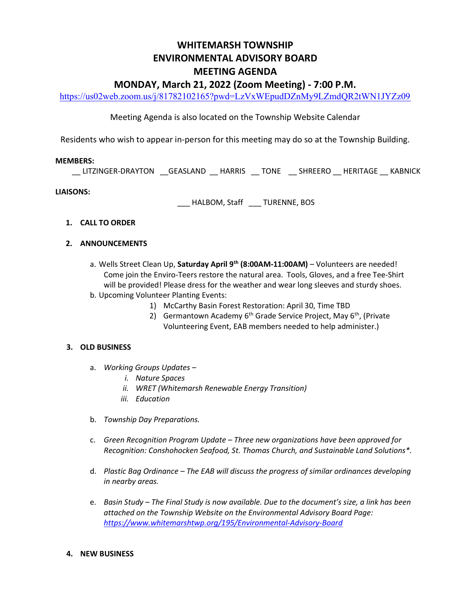# WHITEMARSH TOWNSHIP ENVIRONMENTAL ADVISORY BOARD MEETING AGENDA MONDAY, March 21, 2022 (Zoom Meeting) - 7:00 P.M.

https://us02web.zoom.us/j/81782102165?pwd=LzVxWEpudDZnMy9LZmdQR2tWN1JYZz09

## Meeting Agenda is also located on the Township Website Calendar

Residents who wish to appear in-person for this meeting may do so at the Township Building.

#### MEMBERS:

\_\_ LITZINGER-DRAYTON \_\_GEASLAND \_\_ HARRIS \_\_ TONE \_\_ SHREERO \_\_ HERITAGE \_\_ KABNICK

### LIAISONS:

\_\_\_ HALBOM, Staff \_\_\_ TURENNE, BOS

- 1. CALL TO ORDER
- 2. ANNOUNCEMENTS
	- a. Wells Street Clean Up, Saturday April  $9<sup>th</sup>$  (8:00AM-11:00AM) Volunteers are needed! Come join the Enviro-Teers restore the natural area. Tools, Gloves, and a free Tee-Shirt will be provided! Please dress for the weather and wear long sleeves and sturdy shoes. b. Upcoming Volunteer Planting Events:
		- 1) McCarthy Basin Forest Restoration: April 30, Time TBD
		- 2) Germantown Academy  $6<sup>th</sup>$  Grade Service Project, May  $6<sup>th</sup>$ , (Private Volunteering Event, EAB members needed to help administer.)

### 3. OLD BUSINESS

- a. Working Groups Updates
	- i. Nature Spaces
	- ii. WRET (Whitemarsh Renewable Energy Transition)
	- iii. Education
- b. Township Day Preparations.
- c. Green Recognition Program Update Three new organizations have been approved for Recognition: Conshohocken Seafood, St. Thomas Church, and Sustainable Land Solutions\*.
- d. Plastic Bag Ordinance The EAB will discuss the progress of similar ordinances developing in nearby areas.
- e. Basin Study The Final Study is now available. Due to the document's size, a link has been attached on the Township Website on the Environmental Advisory Board Page: https://www.whitemarshtwp.org/195/Environmental-Advisory-Board

### 4. NEW BUSINESS